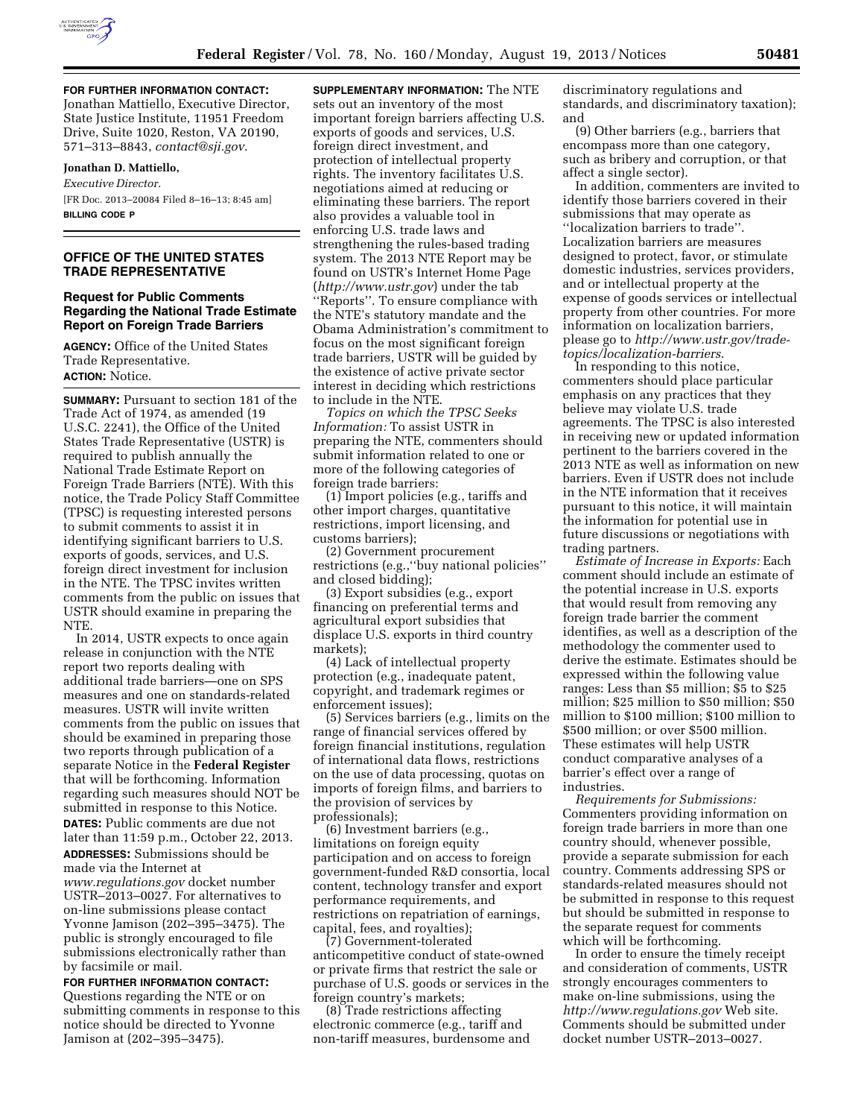

**FOR FURTHER INFORMATION CONTACT:**  Jonathan Mattiello, Executive Director, State Justice Institute, 11951 Freedom Drive, Suite 1020, Reston, VA 20190, 571–313–8843, *[contact@sji.gov](mailto:contact@sji.gov)*.

# **Jonathan D. Mattiello,**  *Executive Director.*  [FR Doc. 2013–20084 Filed 8–16–13; 8:45 am] **BILLING CODE P**

# **OFFICE OF THE UNITED STATES TRADE REPRESENTATIVE**

### **Request for Public Comments Regarding the National Trade Estimate Report on Foreign Trade Barriers**

**AGENCY:** Office of the United States Trade Representative. **ACTION:** Notice.

**SUMMARY:** Pursuant to section 181 of the Trade Act of 1974, as amended (19 U.S.C. 2241), the Office of the United States Trade Representative (USTR) is required to publish annually the National Trade Estimate Report on Foreign Trade Barriers (NTE). With this notice, the Trade Policy Staff Committee (TPSC) is requesting interested persons to submit comments to assist it in identifying significant barriers to U.S. exports of goods, services, and U.S. foreign direct investment for inclusion in the NTE. The TPSC invites written comments from the public on issues that USTR should examine in preparing the NTE.

In 2014, USTR expects to once again release in conjunction with the NTE report two reports dealing with additional trade barriers—one on SPS measures and one on standards-related measures. USTR will invite written comments from the public on issues that should be examined in preparing those two reports through publication of a separate Notice in the **Federal Register**  that will be forthcoming. Information regarding such measures should NOT be submitted in response to this Notice. **DATES:** Public comments are due not later than 11:59 p.m., October 22, 2013. **ADDRESSES:** Submissions should be made via the Internet at *[www.regulations.gov](http://www.regulations.gov)* docket number USTR–2013–0027. For alternatives to on-line submissions please contact Yvonne Jamison (202–395–3475). The public is strongly encouraged to file submissions electronically rather than by facsimile or mail.

**FOR FURTHER INFORMATION CONTACT:**  Questions regarding the NTE or on submitting comments in response to this notice should be directed to Yvonne Jamison at (202–395–3475).

**SUPPLEMENTARY INFORMATION:** The NTE sets out an inventory of the most important foreign barriers affecting U.S. exports of goods and services, U.S. foreign direct investment, and protection of intellectual property rights. The inventory facilitates U.S. negotiations aimed at reducing or eliminating these barriers. The report also provides a valuable tool in enforcing U.S. trade laws and strengthening the rules-based trading system. The 2013 NTE Report may be found on USTR's Internet Home Page (*<http://www.ustr.gov>*) under the tab ''Reports''. To ensure compliance with the NTE's statutory mandate and the Obama Administration's commitment to focus on the most significant foreign trade barriers, USTR will be guided by the existence of active private sector interest in deciding which restrictions to include in the NTE.

*Topics on which the TPSC Seeks Information:* To assist USTR in preparing the NTE, commenters should submit information related to one or more of the following categories of foreign trade barriers:

(1) Import policies (e.g., tariffs and other import charges, quantitative restrictions, import licensing, and customs barriers);

(2) Government procurement restrictions (e.g.,''buy national policies'' and closed bidding);

(3) Export subsidies (e.g., export financing on preferential terms and agricultural export subsidies that displace U.S. exports in third country markets);

(4) Lack of intellectual property protection (e.g., inadequate patent, copyright, and trademark regimes or enforcement issues);

(5) Services barriers (e.g., limits on the range of financial services offered by foreign financial institutions, regulation of international data flows, restrictions on the use of data processing, quotas on imports of foreign films, and barriers to the provision of services by professionals);

(6) Investment barriers (e.g., limitations on foreign equity participation and on access to foreign government-funded R&D consortia, local content, technology transfer and export performance requirements, and restrictions on repatriation of earnings, capital, fees, and royalties);

(7) Government-tolerated anticompetitive conduct of state-owned or private firms that restrict the sale or purchase of U.S. goods or services in the foreign country's markets;

(8) Trade restrictions affecting electronic commerce (e.g., tariff and non-tariff measures, burdensome and

discriminatory regulations and standards, and discriminatory taxation); and

(9) Other barriers (e.g., barriers that encompass more than one category, such as bribery and corruption, or that affect a single sector).

In addition, commenters are invited to identify those barriers covered in their submissions that may operate as ''localization barriers to trade''. Localization barriers are measures designed to protect, favor, or stimulate domestic industries, services providers, and or intellectual property at the expense of goods services or intellectual property from other countries. For more information on localization barriers, please go to *[http://www.ustr.gov/trade](http://www.ustr.gov/trade-topics/localization-barriers)[topics/localization-barriers](http://www.ustr.gov/trade-topics/localization-barriers)*.

In responding to this notice, commenters should place particular emphasis on any practices that they believe may violate U.S. trade agreements. The TPSC is also interested in receiving new or updated information pertinent to the barriers covered in the 2013 NTE as well as information on new barriers. Even if USTR does not include in the NTE information that it receives pursuant to this notice, it will maintain the information for potential use in future discussions or negotiations with trading partners.

*Estimate of Increase in Exports:* Each comment should include an estimate of the potential increase in U.S. exports that would result from removing any foreign trade barrier the comment identifies, as well as a description of the methodology the commenter used to derive the estimate. Estimates should be expressed within the following value ranges: Less than \$5 million; \$5 to \$25 million; \$25 million to \$50 million; \$50 million to \$100 million; \$100 million to \$500 million; or over \$500 million. These estimates will help USTR conduct comparative analyses of a barrier's effect over a range of industries.

*Requirements for Submissions:*  Commenters providing information on foreign trade barriers in more than one country should, whenever possible, provide a separate submission for each country. Comments addressing SPS or standards-related measures should not be submitted in response to this request but should be submitted in response to the separate request for comments which will be forthcoming.

In order to ensure the timely receipt and consideration of comments, USTR strongly encourages commenters to make on-line submissions, using the *<http://www.regulations.gov>* Web site. Comments should be submitted under docket number USTR–2013–0027.